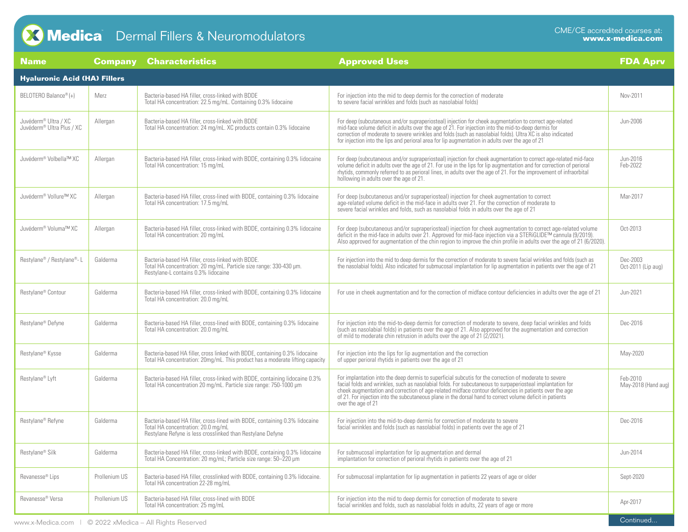## **Discret Control Fillers & Neuromodulators** TM CME/CE accredited courses at:<br>CONECE accredited courses at:<br>**CONECE accredited courses at:**

| <b>Name</b>                                                               | <b>Company</b> | <b>Characteristics</b>                                                                                                                                                         | <b>Approved Uses</b>                                                                                                                                                                                                                                                                                                                                                                                                                                             | <b>FDA Aprv</b>                 |  |  |  |  |
|---------------------------------------------------------------------------|----------------|--------------------------------------------------------------------------------------------------------------------------------------------------------------------------------|------------------------------------------------------------------------------------------------------------------------------------------------------------------------------------------------------------------------------------------------------------------------------------------------------------------------------------------------------------------------------------------------------------------------------------------------------------------|---------------------------------|--|--|--|--|
| <b>Hyaluronic Acid (HA) Fillers</b>                                       |                |                                                                                                                                                                                |                                                                                                                                                                                                                                                                                                                                                                                                                                                                  |                                 |  |  |  |  |
| BELOTERO Balance® (+)                                                     | Merz           | Bacteria-based HA filler, cross-linked with BDDE<br>Total HA concentration: 22.5 mg/mL. Containing 0.3% lidocaine                                                              | For injection into the mid to deep dermis for the correction of moderate<br>to severe facial wrinkles and folds (such as nasolabial folds)                                                                                                                                                                                                                                                                                                                       | Nov-2011                        |  |  |  |  |
| Juvéderm <sup>®</sup> Ultra / XC<br>Juvéderm <sup>®</sup> Ultra Plus / XC | Allergan       | Bacteria-based HA filler, cross-linked with BDDE<br>Total HA concentration: 24 mg/mL. XC products contain 0.3% lidocaine                                                       | For deep (subcutaneous and/or supraperiosteal) injection for cheek augmentation to correct age-related<br>mid-face volume deficit in adults over the age of 21. For injection into the mid-to-deep dermis for<br>correction of moderate to severe wrinkles and folds (such as nasolabial folds). Ultra XC is also indicated<br>for injection into the lips and perioral area for lip augmentation in adults over the age of 21                                   | Jun-2006                        |  |  |  |  |
| Juvéderm <sup>®</sup> Volbella™ XC                                        | Allergan       | Bacteria-based HA filler, cross-linked with BDDE, containing 0.3% lidocaine<br>Total HA concentration: 15 mg/mL                                                                | For deep (subcutaneous and/or supraperiosteal) injection for cheek augmentation to correct age-related mid-face<br>volume deficit in adults over the age of 21. For use in the lips for lip augmentation and for correction of perioral<br>rhytids, commonly referred to as perioral lines, in adults over the age of 21. For the improvement of infraorbital<br>hollowing in adults over the age of 21.                                                         | Jun-2016<br>Feb-2022            |  |  |  |  |
| Juvéderm® Vollure™ XC                                                     | Allergan       | Bacteria-based HA filler, cross-lined with BDDE, containing 0.3% lidocaine<br>Total HA concentration: 17.5 mg/mL                                                               | For deep (subcutaneous and/or supraperiosteal) injection for cheek augmentation to correct<br>age-related volume deficit in the mid-face in adults over 21. For the correction of moderate to<br>severe facial wrinkles and folds, such as nasolabial folds in adults over the age of 21                                                                                                                                                                         | Mar-2017                        |  |  |  |  |
| Juvéderm <sup>®</sup> Voluma™ XC                                          | Allergan       | Bacteria-based HA filler, cross-linked with BDDE, containing 0.3% lidocaine<br>Total HA concentration: 20 mg/mL                                                                | For deep (subcutaneous and/or supraperiosteal) injection for cheek augmentation to correct age-related volume<br>deficit in the mid-face in adults over 21. Approved for mid-face injection via a STERiGLIDE™ cannula (9/2019).<br>Also approved for augmentation of the chin region to improve the chin profile in adults over the age of 21 (6/2020).                                                                                                          | Oct-2013                        |  |  |  |  |
| Restylane® / Restylane®-L                                                 | Galderma       | Bacteria-based HA filler, cross-linked with BDDE.<br>Total HA concentration: 20 mg/mL. Particle size range: 330-430 µm.<br>Restylane-L contains 0.3% lidocaine                 | For injection into the mid to deep dermis for the correction of moderate to severe facial wrinkles and folds (such as<br>the nasolabial folds). Also indicated for submucosal implantation for lip augmentation in patients over the age of 21                                                                                                                                                                                                                   | Dec-2003<br>Oct-2011 (Lip aug)  |  |  |  |  |
| Restylane® Contour                                                        | Galderma       | Bacteria-based HA filler, cross-linked with BDDE, containing 0.3% lidocaine<br>Total HA concentration: 20.0 mg/mL                                                              | For use in cheek augmentation and for the correction of midface contour deficiencies in adults over the age of 21                                                                                                                                                                                                                                                                                                                                                | Jun-2021                        |  |  |  |  |
| Restylane® Defyne                                                         | Galderma       | Bacteria-based HA filler, cross-lined with BDDE, containing 0.3% lidocaine<br>Total HA concentration: 20.0 mg/mL                                                               | For injection into the mid-to-deep dermis for correction of moderate to severe, deep facial wrinkles and folds<br>(such as nasolabial folds) in patients over the age of 21. Also approved for the augmentation and correction<br>of mild to moderate chin retrusion in adults over the age of 21 (2/2021).                                                                                                                                                      | Dec-2016                        |  |  |  |  |
| Restylane® Kysse                                                          | Galderma       | Bacteria-based HA filler, cross linked with BDDE, containing 0.3% lidocaine<br>Total HA concentration: 20mg/mL. This product has a moderate lifting capacity                   | For injection into the lips for lip augmentation and the correction<br>of upper perioral rhytids in patients over the age of 21                                                                                                                                                                                                                                                                                                                                  | May-2020                        |  |  |  |  |
| Restylane <sup>®</sup> Lyft                                               | Galderma       | Bacteria-based HA filler, cross-linked with BDDE, containing lidocaine 0.3%<br>Total HA concentration 20 mg/mL. Particle size range: 750-1000 µm                               | For implantation into the deep dermis to superficial subcutis for the correction of moderate to severe<br>facial folds and wrinkles, such as nasolabial folds. For subcutaneous to surpaperiosteal implantation for<br>cheek augmentation and correction of age-related midface contour deficiencies in patients over the age<br>of 21. For injection into the subcutaneous plane in the dorsal hand to correct volume deficit in patients<br>over the age of 21 | Feb-2010<br>May-2018 (Hand aug) |  |  |  |  |
| Restylane <sup>®</sup> Refyne                                             | Galderma       | Bacteria-based HA filler, cross-lined with BDDE, containing 0.3% lidocaine<br>Total HA concentration: 20.0 mg/mL<br>Restylane Refyne is less crosslinked than Restylane Defyne | For injection into the mid-to-deep dermis for correction of moderate to severe<br>facial wrinkles and folds (such as nasolabial folds) in patients over the age of 21                                                                                                                                                                                                                                                                                            | Dec-2016                        |  |  |  |  |
| Restylane® Silk                                                           | Galderma       | Bacteria-based HA filler, cross-linked with BDDE, containing 0.3% lidocaine<br>Total HA Concentration: 20 mg/mL; Particle size range: 50-220 µm                                | For submucosal implantation for lip augmentation and dermal<br>implantation for correction of perioral rhytids in patients over the age of 21                                                                                                                                                                                                                                                                                                                    | Jun-2014                        |  |  |  |  |
| Revanesse <sup>®</sup> Lips                                               | Prollenium US  | Bacteria-based HA filler, crosslinked with BDDE, containing 0.3% lidocaine.<br>Total HA concentration 22-28 mg/mL                                                              | For submucosal implantation for lip augmentation in patients 22 years of age or older                                                                                                                                                                                                                                                                                                                                                                            | Sept-2020                       |  |  |  |  |
| Revanesse® Versa                                                          | Prollenium US  | Bacteria-based HA filler, cross-lined with BDDE<br>Total HA concentration: 25 mg/mL                                                                                            | For injection into the mid to deep dermis for correction of moderate to severe<br>facial wrinkles and folds, such as nasolabial folds in adults, 22 years of age or more                                                                                                                                                                                                                                                                                         | Apr-2017                        |  |  |  |  |